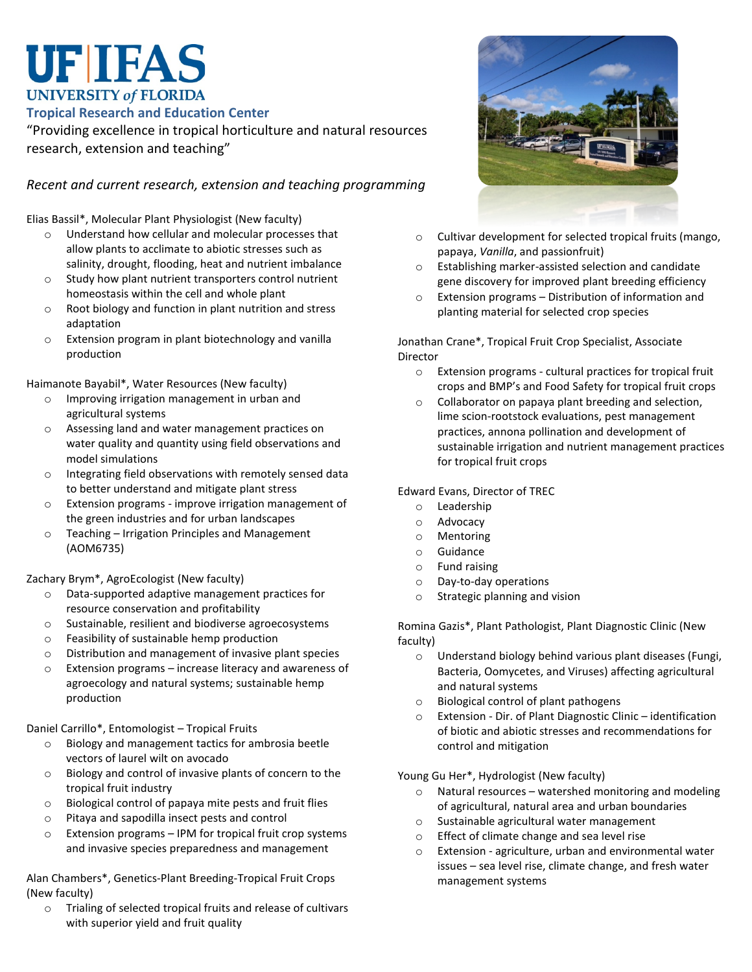# **UF IFAS UNIVERSITY of FLORIDA**

**Tropical Research and Education Center**

"Providing excellence in tropical horticulture and natural resources research, extension and teaching"

## *Recent and current research, extension and teaching programming*

Elias Bassil\*, Molecular Plant Physiologist (New faculty)

- o Understand how cellular and molecular processes that allow plants to acclimate to abiotic stresses such as salinity, drought, flooding, heat and nutrient imbalance
- o Study how plant nutrient transporters control nutrient homeostasis within the cell and whole plant
- o Root biology and function in plant nutrition and stress adaptation
- o Extension program in plant biotechnology and vanilla production

Haimanote Bayabil\*, Water Resources (New faculty)

- o Improving irrigation management in urban and agricultural systems
- o Assessing land and water management practices on water quality and quantity using field observations and model simulations
- o Integrating field observations with remotely sensed data to better understand and mitigate plant stress
- o Extension programs improve irrigation management of the green industries and for urban landscapes
- o Teaching Irrigation Principles and Management (AOM6735)

#### Zachary Brym\*, AgroEcologist (New faculty)

- o Data-supported adaptive management practices for resource conservation and profitability
- o Sustainable, resilient and biodiverse agroecosystems
- o Feasibility of sustainable hemp production
- o Distribution and management of invasive plant species
- o Extension programs increase literacy and awareness of agroecology and natural systems; sustainable hemp production

Daniel Carrillo\*, Entomologist – Tropical Fruits

- o Biology and management tactics for ambrosia beetle vectors of laurel wilt on avocado
- o Biology and control of invasive plants of concern to the tropical fruit industry
- o Biological control of papaya mite pests and fruit flies
- o Pitaya and sapodilla insect pests and control
- o Extension programs IPM for tropical fruit crop systems and invasive species preparedness and management

Alan Chambers\*, Genetics-Plant Breeding-Tropical Fruit Crops (New faculty)

o Trialing of selected tropical fruits and release of cultivars with superior yield and fruit quality



- o Cultivar development for selected tropical fruits (mango, papaya, *Vanilla*, and passionfruit)
- o Establishing marker-assisted selection and candidate gene discovery for improved plant breeding efficiency
- o Extension programs Distribution of information and planting material for selected crop species

Jonathan Crane\*, Tropical Fruit Crop Specialist, Associate Director

- o Extension programs cultural practices for tropical fruit crops and BMP's and Food Safety for tropical fruit crops
- o Collaborator on papaya plant breeding and selection, lime scion-rootstock evaluations, pest management practices, annona pollination and development of sustainable irrigation and nutrient management practices for tropical fruit crops

Edward Evans, Director of TREC

- o Leadership
- o Advocacy
- o Mentoring
- o Guidance
- o Fund raising
- o Day-to-day operations
- o Strategic planning and vision

Romina Gazis\*, Plant Pathologist, Plant Diagnostic Clinic (New faculty)

- o Understand biology behind various plant diseases (Fungi, Bacteria, Oomycetes, and Viruses) affecting agricultural and natural systems
- o Biological control of plant pathogens
- o Extension Dir. of Plant Diagnostic Clinic identification of biotic and abiotic stresses and recommendations for control and mitigation

Young Gu Her\*, Hydrologist (New faculty)

- o Natural resources watershed monitoring and modeling of agricultural, natural area and urban boundaries
- o Sustainable agricultural water management
- o Effect of climate change and sea level rise
- o Extension agriculture, urban and environmental water issues – sea level rise, climate change, and fresh water management systems